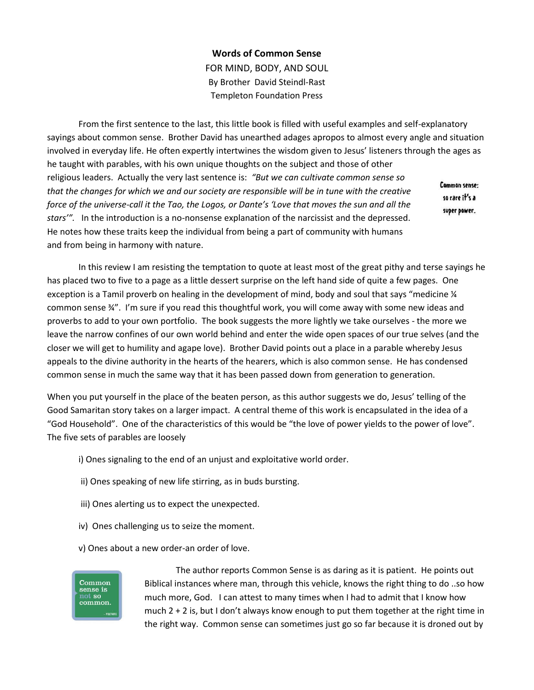## **Words of Common Sense**

FOR MIND, BODY, AND SOUL By Brother David Steindl-Rast Templeton Foundation Press

From the first sentence to the last, this little book is filled with useful examples and self-explanatory sayings about common sense. Brother David has unearthed adages apropos to almost every angle and situation involved in everyday life. He often expertly intertwines the wisdom given to Jesus' listeners through the ages as he taught with parables, with his own unique thoughts on the subject and those of other religious leaders. Actually the very last sentence is: *"But we can cultivate common sense so*  Common sense: *that the changes for which we and our society are responsible will be in tune with the creative*  so rare it's a *force of the universe-call it the Tao, the Logos, or Dante's 'Love that moves the sun and all the*  super power. *stars'".* In the introduction is a no-nonsense explanation of the narcissist and the depressed. He notes how these traits keep the individual from being a part of community with humans and from being in harmony with nature.

In this review I am resisting the temptation to quote at least most of the great pithy and terse sayings he has placed two to five to a page as a little dessert surprise on the left hand side of quite a few pages. One exception is a Tamil proverb on healing in the development of mind, body and soul that says "medicine  $\frac{1}{4}$ common sense ¾". I'm sure if you read this thoughtful work, you will come away with some new ideas and proverbs to add to your own portfolio. The book suggests the more lightly we take ourselves - the more we leave the narrow confines of our own world behind and enter the wide open spaces of our true selves (and the closer we will get to humility and agape love). Brother David points out a place in a parable whereby Jesus appeals to the divine authority in the hearts of the hearers, which is also common sense. He has condensed common sense in much the same way that it has been passed down from generation to generation.

When you put yourself in the place of the beaten person, as this author suggests we do, Jesus' telling of the Good Samaritan story takes on a larger impact. A central theme of this work is encapsulated in the idea of a "God Household". One of the characteristics of this would be "the love of power yields to the power of love". The five sets of parables are loosely

- i) Ones signaling to the end of an unjust and exploitative world order.
- ii) Ones speaking of new life stirring, as in buds bursting.
- iii) Ones alerting us to expect the unexpected.
- iv) Ones challenging us to seize the moment.
- v) Ones about a new order-an order of love.



The author reports Common Sense is as daring as it is patient. He points out Biblical instances where man, through this vehicle, knows the right thing to do ..so how much more, God. I can attest to many times when I had to admit that I know how much  $2 + 2$  is, but I don't always know enough to put them together at the right time in the right way. Common sense can sometimes just go so far because it is droned out by